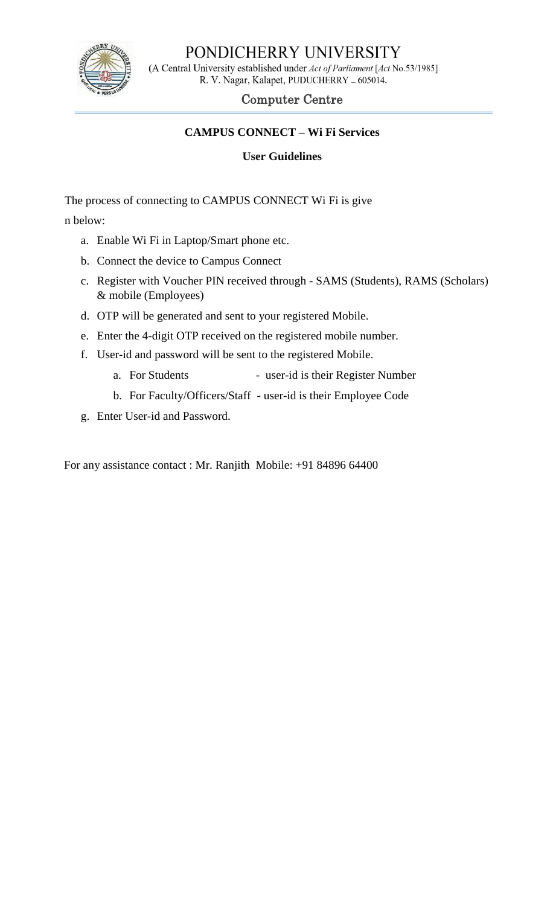

# PONDICHERRY UNIVERSITY

(A Central University established under Act of Parliament [Act No.53/1985] R. V. Nagar, Kalapet, PUDUCHERRY \_ 605014.

### Computer Centre

#### **CAMPUS CONNECT – Wi Fi Services**

#### **User Guidelines**

The process of connecting to CAMPUS CONNECT Wi Fi is give

n below:

- a. Enable Wi Fi in Laptop/Smart phone etc.
- b. Connect the device to Campus Connect
- c. Register with Voucher PIN received through SAMS (Students), RAMS (Scholars) & mobile (Employees)
- d. OTP will be generated and sent to your registered Mobile.
- e. Enter the 4-digit OTP received on the registered mobile number.
- f. User-id and password will be sent to the registered Mobile.
	- a. For Students user-id is their Register Number
	- b. For Faculty/Officers/Staff user-id is their Employee Code
- g. Enter User-id and Password.

For any assistance contact : Mr. Ranjith Mobile: +91 84896 64400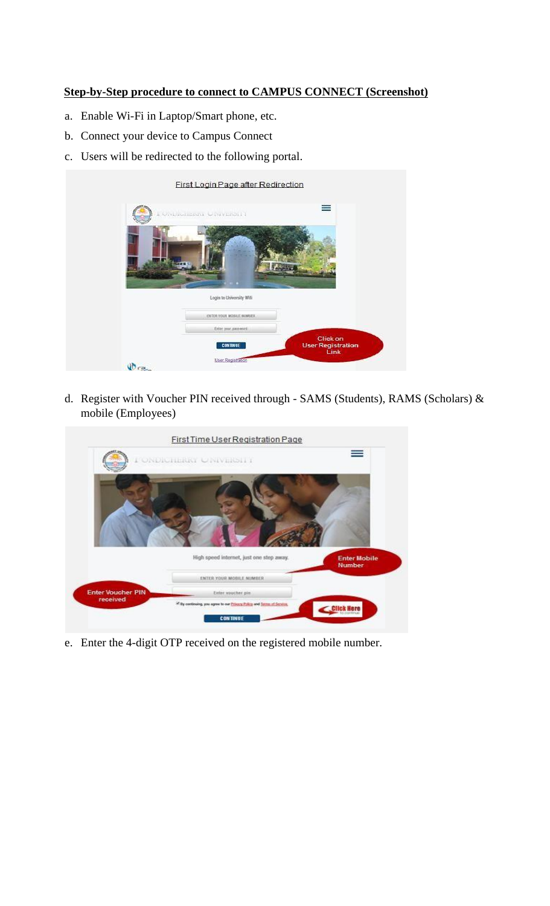#### **Step-by-Step procedure to connect to CAMPUS CONNECT (Screenshot)**

- a. Enable Wi-Fi in Laptop/Smart phone, etc.
- b. Connect your device to Campus Connect
- c. Users will be redirected to the following portal.

|               | First Login Page after Redirection                          |                                                            |
|---------------|-------------------------------------------------------------|------------------------------------------------------------|
|               | ONDERLIGHT UNIVERSITY                                       | ≡                                                          |
|               |                                                             |                                                            |
|               | Login to University Wifi<br><b>EXTER YOUR MOSILE NUMBER</b> |                                                            |
|               | Enter your gassword.                                        |                                                            |
|               | <b>CONTINUE</b>                                             | <b>Click on</b><br><b>User Registration</b><br><b>Link</b> |
| <b>UD</b> ray | User Registration                                           |                                                            |

d. Register with Voucher PIN received through - SAMS (Students), RAMS (Scholars) & mobile (Employees)

|                                      | First Time User Registration Page                                     | ≡                                    |
|--------------------------------------|-----------------------------------------------------------------------|--------------------------------------|
|                                      | I ONDICHERRY CINVERSITY                                               |                                      |
|                                      |                                                                       |                                      |
|                                      |                                                                       |                                      |
|                                      |                                                                       |                                      |
|                                      |                                                                       |                                      |
|                                      | High speed internet, just one step away.                              | <b>Enter Mobile</b><br><b>Number</b> |
|                                      | ENTER YOUR MOBILE NUMBER.                                             |                                      |
| <b>Enter Voucher PIN</b><br>received | Enter voucher pin                                                     |                                      |
|                                      | * By continuing, you agree to our Privacy. Palicy and Jerman Service. | Click Here                           |
|                                      | <b>CONTINUE</b>                                                       |                                      |

e. Enter the 4-digit OTP received on the registered mobile number.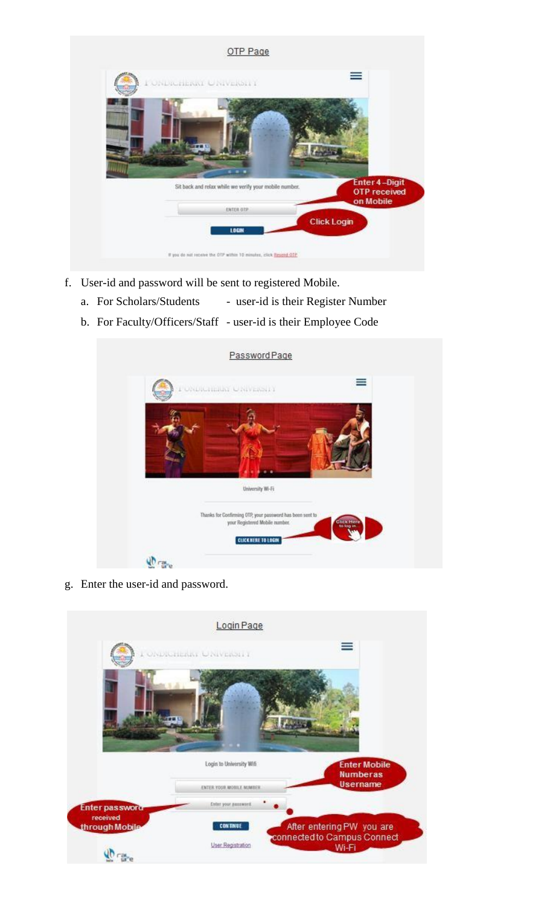| OTP Page                                                           |                                                          |
|--------------------------------------------------------------------|----------------------------------------------------------|
| I ONDRIEDAT UNIVERSITI                                             | ≡                                                        |
| $-11$                                                              |                                                          |
| Sit back and relax while we verify your mobile number.             | <b>Enter 4-Digit</b><br><b>OTP</b> received<br>on Mobile |
| ENTER OTP<br>LOGIN                                                 | <b>Click Login</b>                                       |
| If you do not receive the OTP within 10 minutes, click Resend OTP. |                                                          |

- f. User-id and password will be sent to registered Mobile.
	- a. For Scholars/Students user-id is their Register Number
	- b. For Faculty/Officers/Staff user-id is their Employee Code

| Password Page                                                                               |                                |
|---------------------------------------------------------------------------------------------|--------------------------------|
| PONDICIBILITY ONIVERSITY                                                                    | ≡                              |
|                                                                                             |                                |
|                                                                                             |                                |
|                                                                                             |                                |
| University Wi-Fi                                                                            |                                |
| Thanks for Confirming OTP, your password has been sent to<br>your Registered Mobile number. | <b>Glica Here</b><br>to kep in |
| <b>CLICK NERE TO LOGIN</b>                                                                  |                                |
|                                                                                             |                                |

g. Enter the user-id and password.

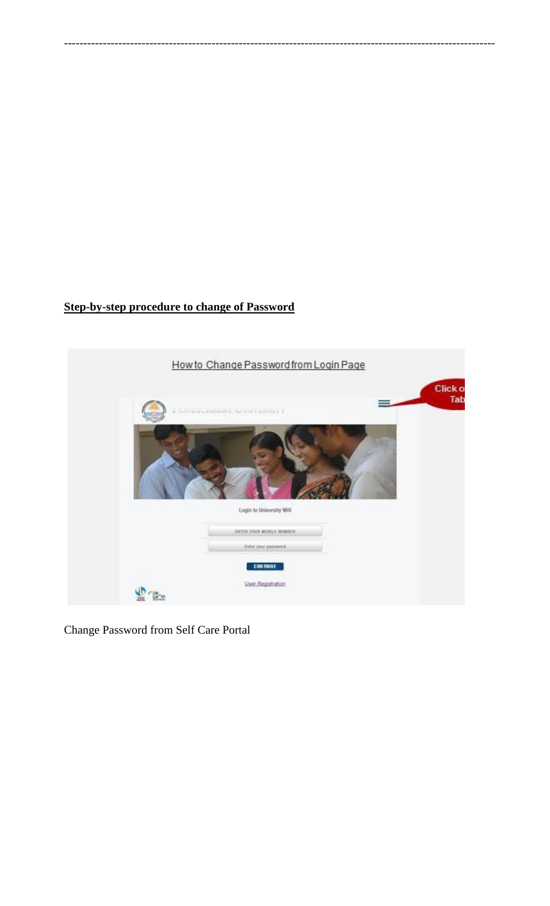## **Step-by-step procedure to change of Password**



---------------------------------------------------------------------------------------------------------------

Change Password from Self Care Portal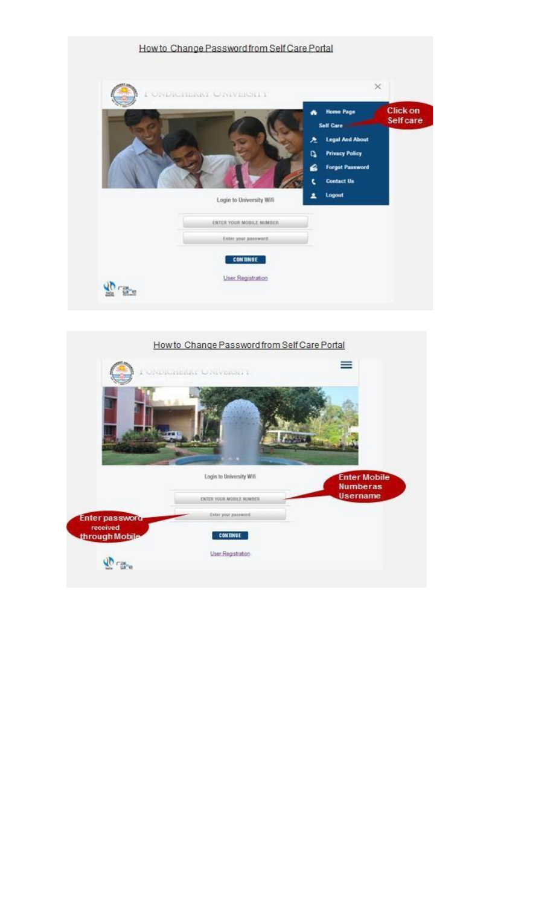

|                            | How to Change Password from Self Care Portal<br>ONDIGHERS UNIVERSITY | ≡                                      |
|----------------------------|----------------------------------------------------------------------|----------------------------------------|
|                            |                                                                      |                                        |
|                            | Login to University Wifi                                             | <b>Enter Mobile</b><br><b>Numberas</b> |
|                            | ENTER YOUR AROSILE MUMBER.                                           | Username                               |
|                            |                                                                      |                                        |
| <b>Enter password</b>      | Enter your assumed.                                                  |                                        |
| received<br>through Mobile | <b>CONTINUE</b>                                                      |                                        |